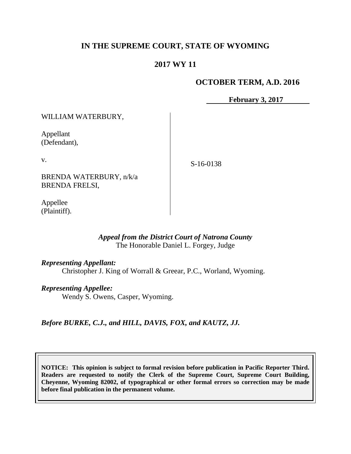# **IN THE SUPREME COURT, STATE OF WYOMING**

# **2017 WY 11**

## **OCTOBER TERM, A.D. 2016**

**February 3, 2017**

WILLIAM WATERBURY,

Appellant (Defendant),

v.

S-16-0138

BRENDA WATERBURY, n/k/a BRENDA FRELSI,

Appellee (Plaintiff).

### *Appeal from the District Court of Natrona County* The Honorable Daniel L. Forgey, Judge

### *Representing Appellant:*

Christopher J. King of Worrall & Greear, P.C., Worland, Wyoming.

#### *Representing Appellee:*

Wendy S. Owens, Casper, Wyoming.

*Before BURKE, C.J., and HILL, DAVIS, FOX, and KAUTZ, JJ.*

**NOTICE: This opinion is subject to formal revision before publication in Pacific Reporter Third. Readers are requested to notify the Clerk of the Supreme Court, Supreme Court Building, Cheyenne, Wyoming 82002, of typographical or other formal errors so correction may be made before final publication in the permanent volume.**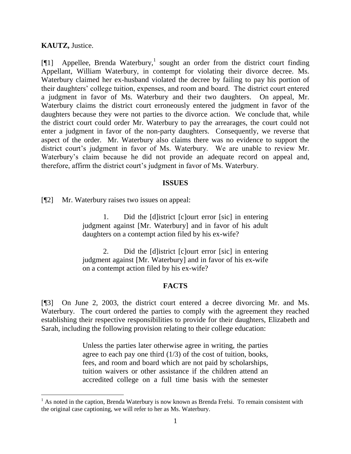### **KAUTZ,** Justice.

l

[¶1] Appellee, Brenda Waterbury, 1 sought an order from the district court finding Appellant, William Waterbury, in contempt for violating their divorce decree. Ms. Waterbury claimed her ex-husband violated the decree by failing to pay his portion of their daughters' college tuition, expenses, and room and board. The district court entered a judgment in favor of Ms. Waterbury and their two daughters. On appeal, Mr. Waterbury claims the district court erroneously entered the judgment in favor of the daughters because they were not parties to the divorce action. We conclude that, while the district court could order Mr. Waterbury to pay the arrearages, the court could not enter a judgment in favor of the non-party daughters. Consequently, we reverse that aspect of the order. Mr. Waterbury also claims there was no evidence to support the district court's judgment in favor of Ms. Waterbury. We are unable to review Mr. Waterbury's claim because he did not provide an adequate record on appeal and, therefore, affirm the district court's judgment in favor of Ms. Waterbury.

#### **ISSUES**

[¶2] Mr. Waterbury raises two issues on appeal:

1. Did the [d]istrict [c]ourt error [sic] in entering judgment against [Mr. Waterbury] and in favor of his adult daughters on a contempt action filed by his ex-wife?

2. Did the [d]istrict [c]ourt error [sic] in entering judgment against [Mr. Waterbury] and in favor of his ex-wife on a contempt action filed by his ex-wife?

### **FACTS**

[¶3] On June 2, 2003, the district court entered a decree divorcing Mr. and Ms. Waterbury. The court ordered the parties to comply with the agreement they reached establishing their respective responsibilities to provide for their daughters, Elizabeth and Sarah, including the following provision relating to their college education:

> Unless the parties later otherwise agree in writing, the parties agree to each pay one third  $(1/3)$  of the cost of tuition, books, fees, and room and board which are not paid by scholarships, tuition waivers or other assistance if the children attend an accredited college on a full time basis with the semester

 $<sup>1</sup>$  As noted in the caption, Brenda Waterbury is now known as Brenda Frelsi. To remain consistent with</sup> the original case captioning, we will refer to her as Ms. Waterbury.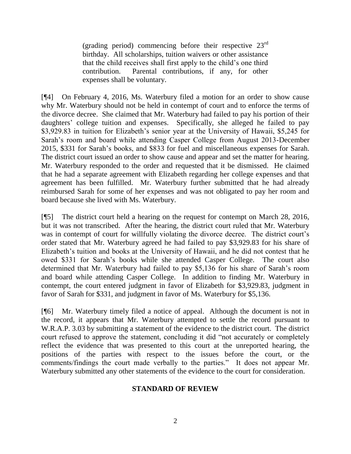(grading period) commencing before their respective  $23<sup>rd</sup>$ birthday. All scholarships, tuition waivers or other assistance that the child receives shall first apply to the child's one third contribution. Parental contributions, if any, for other expenses shall be voluntary.

[¶4] On February 4, 2016, Ms. Waterbury filed a motion for an order to show cause why Mr. Waterbury should not be held in contempt of court and to enforce the terms of the divorce decree. She claimed that Mr. Waterbury had failed to pay his portion of their daughters' college tuition and expenses. Specifically, she alleged he failed to pay \$3,929.83 in tuition for Elizabeth's senior year at the University of Hawaii, \$5,245 for Sarah's room and board while attending Casper College from August 2013-December 2015, \$331 for Sarah's books, and \$833 for fuel and miscellaneous expenses for Sarah. The district court issued an order to show cause and appear and set the matter for hearing. Mr. Waterbury responded to the order and requested that it be dismissed. He claimed that he had a separate agreement with Elizabeth regarding her college expenses and that agreement has been fulfilled. Mr. Waterbury further submitted that he had already reimbursed Sarah for some of her expenses and was not obligated to pay her room and board because she lived with Ms. Waterbury.

[¶5] The district court held a hearing on the request for contempt on March 28, 2016, but it was not transcribed. After the hearing, the district court ruled that Mr. Waterbury was in contempt of court for willfully violating the divorce decree. The district court's order stated that Mr. Waterbury agreed he had failed to pay \$3,929.83 for his share of Elizabeth's tuition and books at the University of Hawaii, and he did not contest that he owed \$331 for Sarah's books while she attended Casper College. The court also determined that Mr. Waterbury had failed to pay \$5,136 for his share of Sarah's room and board while attending Casper College. In addition to finding Mr. Waterbury in contempt, the court entered judgment in favor of Elizabeth for \$3,929.83, judgment in favor of Sarah for \$331, and judgment in favor of Ms. Waterbury for \$5,136.

[¶6] Mr. Waterbury timely filed a notice of appeal. Although the document is not in the record, it appears that Mr. Waterbury attempted to settle the record pursuant to W.R.A.P. 3.03 by submitting a statement of the evidence to the district court. The district court refused to approve the statement, concluding it did "not accurately or completely reflect the evidence that was presented to this court at the unreported hearing, the positions of the parties with respect to the issues before the court, or the comments/findings the court made verbally to the parties." It does not appear Mr. Waterbury submitted any other statements of the evidence to the court for consideration.

## **STANDARD OF REVIEW**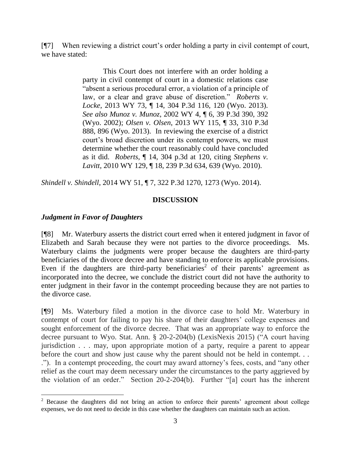[¶7] When reviewing a district court's order holding a party in civil contempt of court, we have stated:

> This Court does not interfere with an order holding a party in civil contempt of court in a domestic relations case "absent a serious procedural error, a violation of a principle of law, or a clear and grave abuse of discretion." *Roberts v. Locke*, 2013 WY 73, ¶ 14, 304 P.3d 116, 120 (Wyo. 2013). *See also Munoz v. Munoz*, 2002 WY 4, ¶ 6, 39 P.3d 390, 392 (Wyo. 2002); *Olsen v. Olsen*, 2013 WY 115, ¶ 33, 310 P.3d 888, 896 (Wyo. 2013). In reviewing the exercise of a district court's broad discretion under its contempt powers, we must determine whether the court reasonably could have concluded as it did. *Roberts*, ¶ 14, 304 p.3d at 120, citing *Stephens v. Lavitt*, 2010 WY 129, ¶ 18, 239 P.3d 634, 639 (Wyo. 2010).

*Shindell v. Shindell*, 2014 WY 51, ¶ 7, 322 P.3d 1270, 1273 (Wyo. 2014).

## **DISCUSSION**

## *Judgment in Favor of Daughters*

l

[¶8] Mr. Waterbury asserts the district court erred when it entered judgment in favor of Elizabeth and Sarah because they were not parties to the divorce proceedings. Ms. Waterbury claims the judgments were proper because the daughters are third-party beneficiaries of the divorce decree and have standing to enforce its applicable provisions. Even if the daughters are third-party beneficiaries<sup>2</sup> of their parents' agreement as incorporated into the decree, we conclude the district court did not have the authority to enter judgment in their favor in the contempt proceeding because they are not parties to the divorce case.

[¶9] Ms. Waterbury filed a motion in the divorce case to hold Mr. Waterbury in contempt of court for failing to pay his share of their daughters' college expenses and sought enforcement of the divorce decree. That was an appropriate way to enforce the decree pursuant to Wyo. Stat. Ann. § 20-2-204(b) (LexisNexis 2015) ("A court having jurisdiction . . . may, upon appropriate motion of a party, require a parent to appear before the court and show just cause why the parent should not be held in contempt. . . ."). In a contempt proceeding, the court may award attorney's fees, costs, and "any other relief as the court may deem necessary under the circumstances to the party aggrieved by the violation of an order." Section 20-2-204(b). Further "[a] court has the inherent

<sup>&</sup>lt;sup>2</sup> Because the daughters did not bring an action to enforce their parents' agreement about college expenses, we do not need to decide in this case whether the daughters can maintain such an action.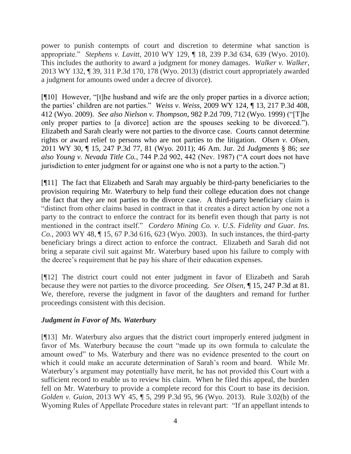power to punish contempts of court and discretion to determine what sanction is appropriate." *Stephens v. Lavitt*, 2010 WY 129, ¶ 18, 239 P.3d 634, 639 (Wyo. 2010). This includes the authority to award a judgment for money damages. *Walker v. Walker*, 2013 WY 132, ¶ 39, 311 P.3d 170, 178 (Wyo. 2013) (district court appropriately awarded a judgment for amounts owed under a decree of divorce).

[¶10] However, "[t]he husband and wife are the only proper parties in a divorce action; the parties' children are not parties." *Weiss v. Weiss*, 2009 WY 124, ¶ 13, 217 P.3d 408, 412 (Wyo. 2009). *See also Nielson v. Thompson*, 982 P.2d 709, 712 (Wyo. 1999) ("[T]he only proper parties to [a divorce] action are the spouses seeking to be divorced."). Elizabeth and Sarah clearly were not parties to the divorce case. Courts cannot determine rights or award relief to persons who are not parties to the litigation. *Olsen v. Olsen*, 2011 WY 30, ¶ 15, 247 P.3d 77, 81 (Wyo. 2011); 46 Am. Jur. 2d *Judgments* § 86; *see also Young v. Nevada Title Co.*, 744 P.2d 902, 442 (Nev. 1987) ("A court does not have jurisdiction to enter judgment for or against one who is not a party to the action.")

[¶11] The fact that Elizabeth and Sarah may arguably be third-party beneficiaries to the provision requiring Mr. Waterbury to help fund their college education does not change the fact that they are not parties to the divorce case. A third-party beneficiary claim is "distinct from other claims based in contract in that it creates a direct action by one not a party to the contract to enforce the contract for its benefit even though that party is not mentioned in the contract itself." *Cordero Mining Co. v. U.S. Fidelity and Guar. Ins. Co.*, 2003 WY 48, ¶ 15, 67 P.3d 616, 623 (Wyo. 2003). In such instances, the third-party beneficiary brings a direct action to enforce the contract. Elizabeth and Sarah did not bring a separate civil suit against Mr. Waterbury based upon his failure to comply with the decree's requirement that he pay his share of their education expenses.

[¶12] The district court could not enter judgment in favor of Elizabeth and Sarah because they were not parties to the divorce proceeding. *See Olsen,* ¶ 15, 247 P.3d at 81. We, therefore, reverse the judgment in favor of the daughters and remand for further proceedings consistent with this decision.

## *Judgment in Favor of Ms. Waterbury*

[¶13] Mr. Waterbury also argues that the district court improperly entered judgment in favor of Ms. Waterbury because the court "made up its own formula to calculate the amount owed" to Ms. Waterbury and there was no evidence presented to the court on which it could make an accurate determination of Sarah's room and board. While Mr. Waterbury's argument may potentially have merit, he has not provided this Court with a sufficient record to enable us to review his claim. When he filed this appeal, the burden fell on Mr. Waterbury to provide a complete record for this Court to base its decision. *Golden v. Guion*, 2013 WY 45, ¶ 5, 299 P.3d 95, 96 (Wyo. 2013). Rule 3.02(b) of the Wyoming Rules of Appellate Procedure states in relevant part: "If an appellant intends to